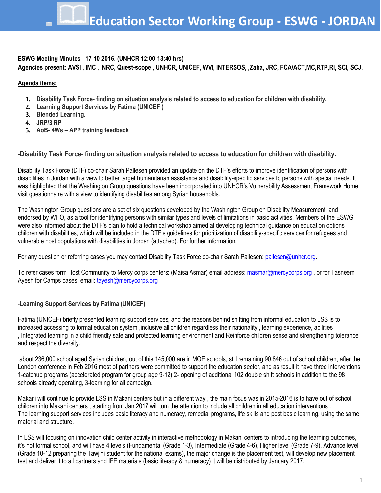# **ESWG Meeting Minutes –17-10-2016. (UNHCR 12:00-13:40 hrs)**

**Agencies present: AVSI , IMC , ,NRC, Quest-scope , UNHCR, UNICEF, WVI, INTERSOS, ,Zaha, JRC, FCA/ACT,MC,RTP,RI, SCI, SCJ.**

# **Agenda items:**

- **1. Disability Task Force- finding on situation analysis related to access to education for children with disability.**
- **2. Learning Support Services by Fatima (UNICEF )**
- **3. Blended Learning.**
- **4. JRP/3 RP**
- **5. AoB- 4Ws – APP training feedback**

**-Disability Task Force- finding on situation analysis related to access to education for children with disability.**

Disability Task Force (DTF) co-chair Sarah Pallesen provided an update on the DTF's efforts to improve identification of persons with disabilities in Jordan with a view to better target humanitarian assistance and disability-specific services to persons with special needs. It was highlighted that the Washington Group questions have been incorporated into UNHCR's Vulnerability Assessment Framework Home visit questionnaire with a view to identifying disabilities among Syrian households.

The Washington Group questions are a set of six questions developed by the Washington Group on Disability Measurement, and endorsed by WHO, as a tool for identifying persons with similar types and levels of limitations in basic activities. Members of the ESWG were also informed about the DTF's plan to hold a technical workshop aimed at developing technical guidance on education options children with disabilities, which will be included in the DTF's guidelines for prioritization of disability-specific services for refugees and vulnerable host populations with disabilities in Jordan (attached). For further information,

For any question or referring cases you may contact Disability Task Force co-chair Sarah Pallesen: pallesen@unhcr.org.

To refer cases form Host Community to Mercy corps centers: (Maisa Asmar) email address: [masmar@mercycorps.org](mailto:masmar@mercycorps.org), or for Tasneem Ayesh for Camps cases, email[: tayesh@mercycorps.org](mailto:tayesh@mercycorps.org)

# -**Learning Support Services by Fatima (UNICEF)**

Fatima (UNICEF) briefly presented learning support services, and the reasons behind shifting from informal education to LSS is to increased accessing to formal education system ,inclusive all children regardless their nationality , learning experience, abilities , Integrated learning in a child friendly safe and protected learning environment and Reinforce children sense and strengthening tolerance and respect the diversity.

about 236,000 school aged Syrian children, out of this 145,000 are in MOE schools, still remaining 90,846 out of school children, after the London conference in Feb 2016 most of partners were committed to support the education sector, and as result it have three interventions 1-catchup programs (accelerated program for group age 9-12) 2- opening of additional 102 double shift schools in addition to the 98 schools already operating, 3-learning for all campaign.

Makani will continue to provide LSS in Makani centers but in a different way , the main focus was in 2015-2016 is to have out of school children into Makani centers , starting from Jan 2017 will turn the attention to include all children in all education interventions . The learning support services includes basic literacy and numeracy, remedial programs, life skills and post basic learning, using the same material and structure.

In LSS will focusing on innovation child center activity in interactive methodology in Makani centers to introducing the learning outcomes, it's not formal school, and will have 4 levels (Fundamental (Grade 1-3), Intermediate (Grade 4-6), Higher level (Grade 7-9), Advance level (Grade 10-12 preparing the Tawjihi student for the national exams), the major change is the placement test, will develop new placement test and deliver it to all partners and IFE materials (basic literacy & numeracy) it will be distributed by January 2017.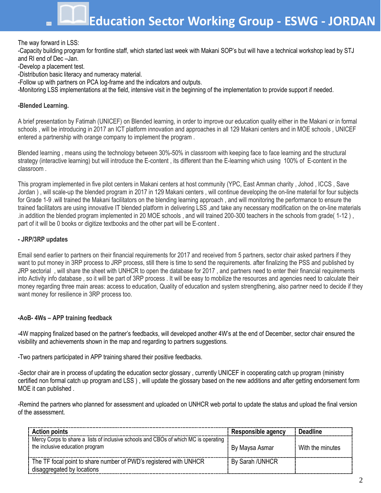**Education Sector Working Group - ESWG - JORDAN**

### The way forward in LSS:

-Capacity building program for frontline staff, which started last week with Makani SOP's but will have a technical workshop lead by STJ and RI end of Dec –Jan.

- -Develop a placement test.
- -Distribution basic literacy and numeracy material.
- -Follow up with partners on PCA log-frame and the indicators and outputs.
- -Monitoring LSS implementations at the field, intensive visit in the beginning of the implementation to provide support if needed.

#### **-Blended Learning.**

A brief presentation by Fatimah (UNICEF) on Blended learning, in order to improve our education quality either in the Makani or in formal schools , will be introducing in 2017 an ICT platform innovation and approaches in all 129 Makani centers and in MOE schools , UNICEF entered a partnership with orange company to implement the program .

Blended learning , means using the technology between 30%-50% in classroom with keeping face to face learning and the structural strategy (interactive learning) but will introduce the E-content , its different than the E-learning which using 100% of E-content in the classroom .

This program implemented in five pilot centers in Makani centers at host community (YPC, East Amman charity , Johod , ICCS , Save Jordan ) , will scale-up the blended program in 2017 in 129 Makani centers , will continue developing the on-line material for four subjects for Grade 1-9 .will trained the Makani facilitators on the blending learning approach , and will monitoring the performance to ensure the trained facilitators are using innovative IT blended platform in delivering LSS ,and take any necessary modification on the on-line materials .in addition the blended program implemented in 20 MOE schools , and will trained 200-300 teachers in the schools from grade( 1-12 ) , part of it will be 0 books or digitize textbooks and the other part will be E-content .

#### **- JRP/3RP updates**

Email send earlier to partners on their financial requirements for 2017 and received from 5 partners, sector chair asked partners if they want to put money in 3RP process to JRP process, still there is time to send the requirements. after finalizing the PSS and published by JRP sectorial , will share the sheet with UNHCR to open the database for 2017 , and partners need to enter their financial requirements into Activity info database , so it will be part of 3RP process . It will be easy to mobilize the resources and agencies need to calculate their money regarding three main areas: access to education, Quality of education and system strengthening, also partner need to decide if they want money for resilience in 3RP process too.

### **-AoB- 4Ws – APP training feedback**

-4W mapping finalized based on the partner's feedbacks, will developed another 4W's at the end of December, sector chair ensured the visibility and achievements shown in the map and regarding to partners suggestions.

-Two partners participated in APP training shared their positive feedbacks.

-Sector chair are in process of updating the education sector glossary , currently UNICEF in cooperating catch up program (ministry certified non formal catch up program and LSS ) , will update the glossary based on the new additions and after getting endorsement form MOE it can published .

-Remind the partners who planned for assessment and uploaded on UNHCR web portal to update the status and upload the final version of the assessment.

| <b>Action points</b>                                                                                                   | Responsible agency | <b>Deadline</b>  |
|------------------------------------------------------------------------------------------------------------------------|--------------------|------------------|
| Mercy Corps to share a lists of inclusive schools and CBOs of which MC is operating<br>the inclusive education program | By Maysa Asmar     | With the minutes |
| The TF focal point to share number of PWD's registered with UNHCR<br>disaggregated by locations                        | By Sarah /UNHCR    |                  |